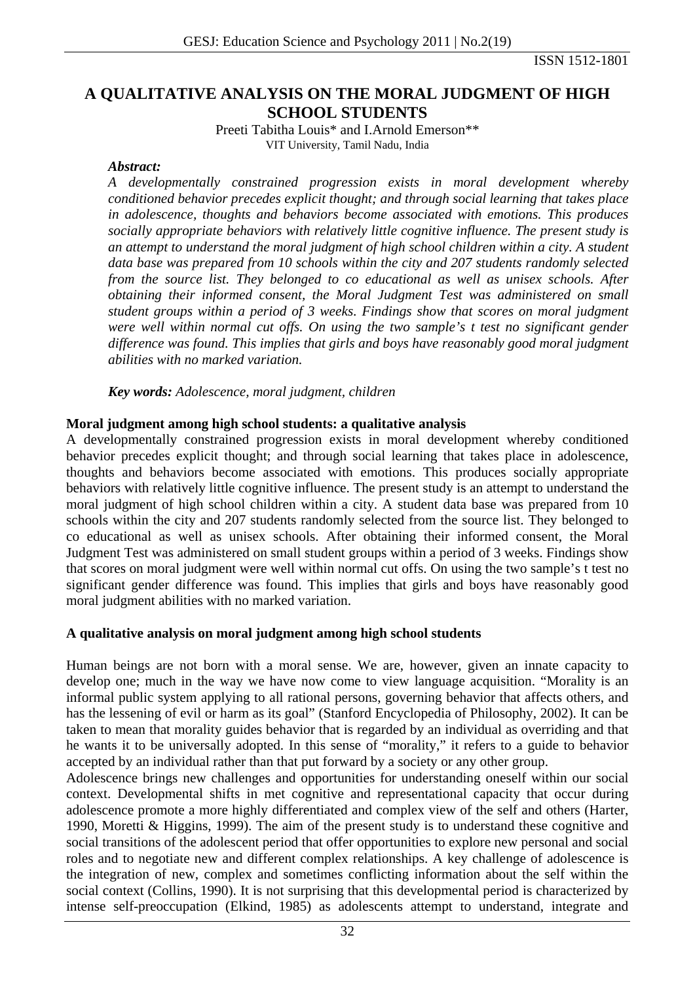ISSN 1512-1801

# **A QUALITATIVE ANALYSIS ON THE MORAL JUDGMENT OF HIGH SCHOOL STUDENTS**

Preeti Tabitha Louis\* and I.Arnold Emerson\*\* VIT University, Tamil Nadu, India

#### *Abstract:*

*A developmentally constrained progression exists in moral development whereby conditioned behavior precedes explicit thought; and through social learning that takes place in adolescence, thoughts and behaviors become associated with emotions. This produces socially appropriate behaviors with relatively little cognitive influence. The present study is an attempt to understand the moral judgment of high school children within a city. A student data base was prepared from 10 schools within the city and 207 students randomly selected from the source list. They belonged to co educational as well as unisex schools. After obtaining their informed consent, the Moral Judgment Test was administered on small student groups within a period of 3 weeks. Findings show that scores on moral judgment were well within normal cut offs. On using the two sample's t test no significant gender difference was found. This implies that girls and boys have reasonably good moral judgment abilities with no marked variation.* 

*Key words: Adolescence, moral judgment, children* 

#### **Moral judgment among high school students: a qualitative analysis**

A developmentally constrained progression exists in moral development whereby conditioned behavior precedes explicit thought; and through social learning that takes place in adolescence, thoughts and behaviors become associated with emotions. This produces socially appropriate behaviors with relatively little cognitive influence. The present study is an attempt to understand the moral judgment of high school children within a city. A student data base was prepared from 10 schools within the city and 207 students randomly selected from the source list. They belonged to co educational as well as unisex schools. After obtaining their informed consent, the Moral Judgment Test was administered on small student groups within a period of 3 weeks. Findings show that scores on moral judgment were well within normal cut offs. On using the two sample's t test no significant gender difference was found. This implies that girls and boys have reasonably good moral judgment abilities with no marked variation.

#### **A qualitative analysis on moral judgment among high school students**

Human beings are not born with a moral sense. We are, however, given an innate capacity to develop one; much in the way we have now come to view language acquisition. "Morality is an informal public system applying to all rational persons, governing behavior that affects others, and has the lessening of evil or harm as its goal" (Stanford Encyclopedia of Philosophy, 2002). It can be taken to mean that morality guides behavior that is regarded by an individual as overriding and that he wants it to be universally adopted. In this sense of "morality," it refers to a guide to behavior accepted by an individual rather than that put forward by a society or any other group.

Adolescence brings new challenges and opportunities for understanding oneself within our social context. Developmental shifts in met cognitive and representational capacity that occur during adolescence promote a more highly differentiated and complex view of the self and others (Harter, 1990, Moretti & Higgins, 1999). The aim of the present study is to understand these cognitive and social transitions of the adolescent period that offer opportunities to explore new personal and social roles and to negotiate new and different complex relationships. A key challenge of adolescence is the integration of new, complex and sometimes conflicting information about the self within the social context (Collins, 1990). It is not surprising that this developmental period is characterized by intense self-preoccupation (Elkind, 1985) as adolescents attempt to understand, integrate and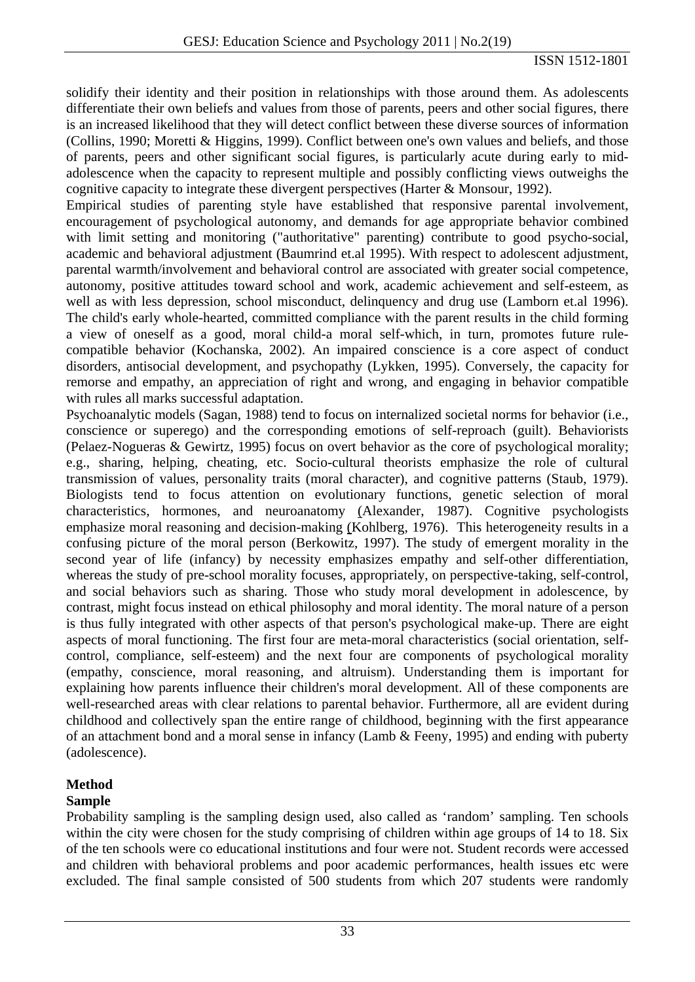solidify their identity and their position in relationships with those around them. As adolescents differentiate their own beliefs and values from those of parents, peers and other social figures, there is an increased likelihood that they will detect conflict between these diverse sources of information (Collins, 1990; Moretti & Higgins, 1999). Conflict between one's own values and beliefs, and those of parents, peers and other significant social figures, is particularly acute during early to midadolescence when the capacity to represent multiple and possibly conflicting views outweighs the cognitive capacity to integrate these divergent perspectives (Harter & Monsour, 1992).

Empirical studies of parenting style have established that responsive parental involvement, encouragement of psychological autonomy, and demands for age appropriate behavior combined with limit setting and monitoring ("authoritative" parenting) contribute to good psycho-social, academic and behavioral adjustment (Baumrind et.al 1995). With respect to adolescent adjustment, parental warmth/involvement and behavioral control are associated with greater social competence, autonomy, positive attitudes toward school and work, academic achievement and self-esteem, as well as with less depression, school misconduct, delinquency and drug use (Lamborn et.al 1996). The child's early whole-hearted, committed compliance with the parent results in the child forming a view of oneself as a good, moral child-a moral self-which, in turn, promotes future rulecompatible behavior (Kochanska, 2002). An impaired conscience is a core aspect of conduct disorders, antisocial development, and psychopathy (Lykken, 1995). Conversely, the capacity for remorse and empathy, an appreciation of right and wrong, and engaging in behavior compatible with rules all marks successful adaptation.

Psychoanalytic models [\(Sagan, 1988\)](http://parenthood.library.wisc.edu/Berkowitz/Berkowitz-bib.html#sag88) tend to focus on internalized societal norms for behavior (i.e., conscience or superego) and the corresponding emotions of self-reproach (guilt). Behaviorists [\(Pelaez-Nogueras & Gewirtz, 1995\)](http://parenthood.library.wisc.edu/Berkowitz/Berkowitz-bib.html#pelgew95) focus on overt behavior as the core of psychological morality; e.g., sharing, helping, cheating, etc. Socio-cultural theorists emphasize the role of cultural transmission of values, personality traits (moral character), and cognitive patterns [\(Staub, 1979\).](http://parenthood.library.wisc.edu/Berkowitz/Berkowitz-bib.html#sta79) Biologists tend to focus attention on evolutionary functions, genetic selection of moral characteristics, hormones, and neuroanatomy [\(Alexander, 1987\)](http://parenthood.library.wisc.edu/Berkowitz/Berkowitz-bib.html#ale87). Cognitive psychologists emphasize moral reasoning and decision-making [\(Kohlberg, 1976\)](http://parenthood.library.wisc.edu/Berkowitz/Berkowitz-bib.html#koh76). This heterogeneity results in a confusing picture of the moral person [\(Berkowitz, 1997\)](http://parenthood.library.wisc.edu/Berkowitz/Berkowitz-bib.html#ber97). The study of emergent morality in the second year of life (infancy) by necessity emphasizes empathy and self-other differentiation, whereas the study of pre-school morality focuses, appropriately, on perspective-taking, self-control, and social behaviors such as sharing. Those who study moral development in adolescence, by contrast, might focus instead on ethical philosophy and moral identity. The moral nature of a person is thus fully integrated with other aspects of that person's psychological make-up. There are eight aspects of moral functioning. The first four are meta-moral characteristics (social orientation, selfcontrol, compliance, self-esteem) and the next four are components of psychological morality (empathy, conscience, moral reasoning, and altruism). Understanding them is important for explaining how parents influence their children's moral development. All of these components are well-researched areas with clear relations to parental behavior. Furthermore, all are evident during childhood and collectively span the entire range of childhood, beginning with the first appearance of an attachment bond and a moral sense in infancy [\(Lamb & Feeny, 1995\)](http://parenthood.library.wisc.edu/Berkowitz/Berkowitz-bib.html#lamfee95) and ending with puberty (adolescence).

## **Method**

## **Sample**

Probability sampling is the sampling design used, also called as 'random' sampling. Ten schools within the city were chosen for the study comprising of children within age groups of 14 to 18. Six of the ten schools were co educational institutions and four were not. Student records were accessed and children with behavioral problems and poor academic performances, health issues etc were excluded. The final sample consisted of 500 students from which 207 students were randomly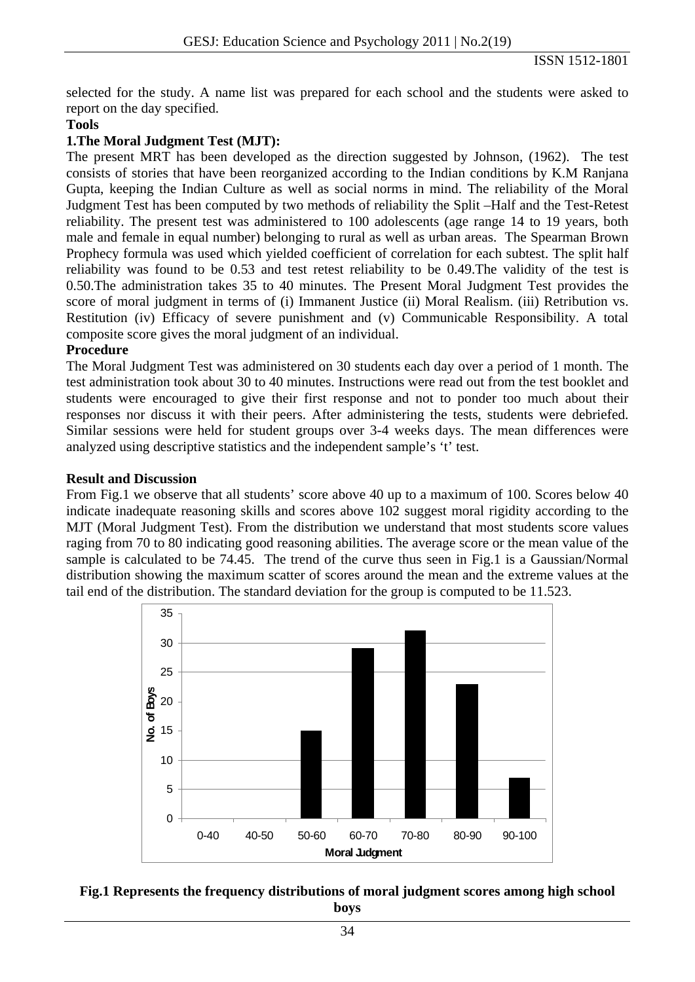selected for the study. A name list was prepared for each school and the students were asked to report on the day specified.

#### **Tools**

#### **1.The Moral Judgment Test (MJT):**

The present MRT has been developed as the direction suggested by Johnson, (1962). The test consists of stories that have been reorganized according to the Indian conditions by K.M Ranjana Gupta, keeping the Indian Culture as well as social norms in mind. The reliability of the Moral Judgment Test has been computed by two methods of reliability the Split –Half and the Test-Retest reliability. The present test was administered to 100 adolescents (age range 14 to 19 years, both male and female in equal number) belonging to rural as well as urban areas. The Spearman Brown Prophecy formula was used which yielded coefficient of correlation for each subtest. The split half reliability was found to be 0.53 and test retest reliability to be 0.49.The validity of the test is 0.50.The administration takes 35 to 40 minutes. The Present Moral Judgment Test provides the score of moral judgment in terms of (i) Immanent Justice (ii) Moral Realism. (iii) Retribution vs. Restitution (iv) Efficacy of severe punishment and (v) Communicable Responsibility. A total composite score gives the moral judgment of an individual.

#### **Procedure**

The Moral Judgment Test was administered on 30 students each day over a period of 1 month. The test administration took about 30 to 40 minutes. Instructions were read out from the test booklet and students were encouraged to give their first response and not to ponder too much about their responses nor discuss it with their peers. After administering the tests, students were debriefed. Similar sessions were held for student groups over 3-4 weeks days. The mean differences were analyzed using descriptive statistics and the independent sample's 't' test.

#### **Result and Discussion**

From Fig.1 we observe that all students' score above 40 up to a maximum of 100. Scores below 40 indicate inadequate reasoning skills and scores above 102 suggest moral rigidity according to the MJT (Moral Judgment Test). From the distribution we understand that most students score values raging from 70 to 80 indicating good reasoning abilities. The average score or the mean value of the sample is calculated to be 74.45. The trend of the curve thus seen in Fig.1 is a Gaussian/Normal distribution showing the maximum scatter of scores around the mean and the extreme values at the tail end of the distribution. The standard deviation for the group is computed to be 11.523.



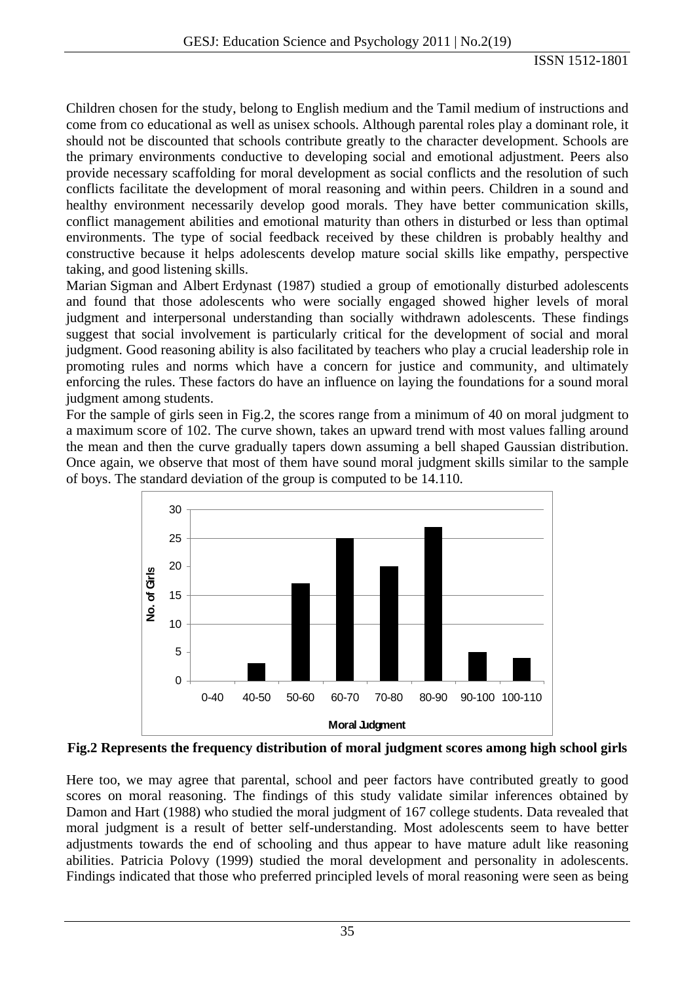Children chosen for the study, belong to English medium and the Tamil medium of instructions and come from co educational as well as unisex schools. Although parental roles play a dominant role, it should not be discounted that schools contribute greatly to the character development. Schools are the primary environments conductive to developing social and emotional adjustment. Peers also provide necessary scaffolding for moral development as social conflicts and the resolution of such conflicts facilitate the development of moral reasoning and within peers. Children in a sound and healthy environment necessarily develop good morals. They have better communication skills, conflict management abilities and emotional maturity than others in disturbed or less than optimal environments. The type of social feedback received by these children is probably healthy and constructive because it helps adolescents develop mature social skills like empathy, perspective taking, and good listening skills.

Marian Sigman and Albert Erdynast (1987) studied a group of emotionally disturbed adolescents and found that those adolescents who were socially engaged showed higher levels of moral judgment and interpersonal understanding than socially withdrawn adolescents. These findings suggest that social involvement is particularly critical for the development of social and moral judgment. Good reasoning ability is also facilitated by teachers who play a crucial leadership role in promoting rules and norms which have a concern for justice and community, and ultimately enforcing the rules. These factors do have an influence on laying the foundations for a sound moral judgment among students.

For the sample of girls seen in Fig.2, the scores range from a minimum of 40 on moral judgment to a maximum score of 102. The curve shown, takes an upward trend with most values falling around the mean and then the curve gradually tapers down assuming a bell shaped Gaussian distribution. Once again, we observe that most of them have sound moral judgment skills similar to the sample of boys. The standard deviation of the group is computed to be 14.110.



**Fig.2 Represents the frequency distribution of moral judgment scores among high school girls** 

Here too, we may agree that parental, school and peer factors have contributed greatly to good scores on moral reasoning. The findings of this study validate similar inferences obtained by Damon and Hart (1988) who studied the moral judgment of 167 college students. Data revealed that moral judgment is a result of better self-understanding. Most adolescents seem to have better adjustments towards the end of schooling and thus appear to have mature adult like reasoning abilities. Patricia Polovy (1999) studied the moral development and personality in adolescents. Findings indicated that those who preferred principled levels of moral reasoning were seen as being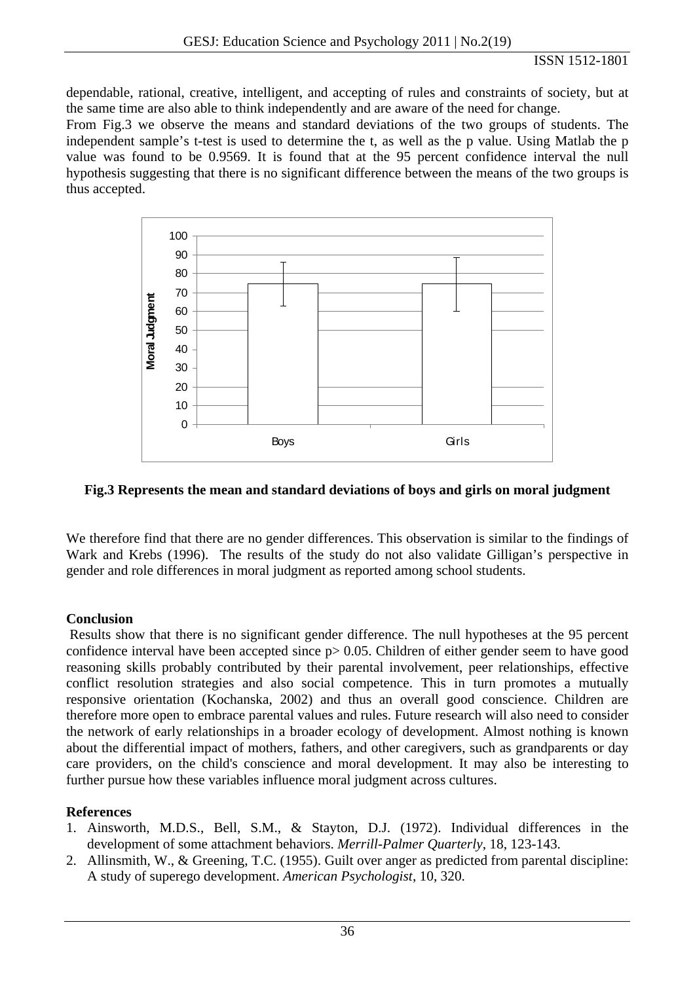dependable, rational, creative, intelligent, and accepting of rules and constraints of society, but at the same time are also able to think independently and are aware of the need for change.

From Fig.3 we observe the means and standard deviations of the two groups of students. The independent sample's t-test is used to determine the t, as well as the p value. Using Matlab the p value was found to be 0.9569. It is found that at the 95 percent confidence interval the null hypothesis suggesting that there is no significant difference between the means of the two groups is thus accepted.



# **Fig.3 Represents the mean and standard deviations of boys and girls on moral judgment**

We therefore find that there are no gender differences. This observation is similar to the findings of Wark and Krebs (1996). The results of the study do not also validate Gilligan's perspective in gender and role differences in moral judgment as reported among school students.

## **Conclusion**

 Results show that there is no significant gender difference. The null hypotheses at the 95 percent confidence interval have been accepted since  $p > 0.05$ . Children of either gender seem to have good reasoning skills probably contributed by their parental involvement, peer relationships, effective conflict resolution strategies and also social competence. This in turn promotes a mutually responsive orientation (Kochanska, 2002) and thus an overall good conscience. Children are therefore more open to embrace parental values and rules. Future research will also need to consider the network of early relationships in a broader ecology of development. Almost nothing is known about the differential impact of mothers, fathers, and other caregivers, such as grandparents or day care providers, on the child's conscience and moral development. It may also be interesting to further pursue how these variables influence moral judgment across cultures.

# **References**

- 1. Ainsworth, M.D.S., Bell, S.M., & Stayton, D.J. (1972). Individual differences in the development of some attachment behaviors. *Merrill-Palmer Quarterly*, 18, 123-143.
- 2. Allinsmith, W., & Greening, T.C. (1955). Guilt over anger as predicted from parental discipline: A study of superego development. *American Psychologist*, 10, 320.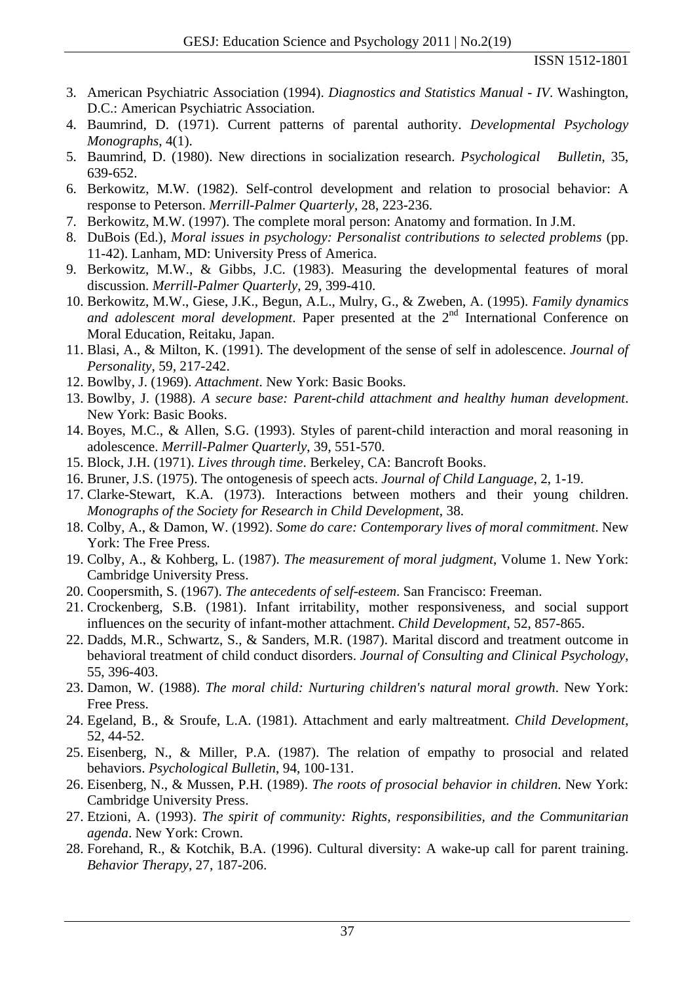- 3. American Psychiatric Association (1994). *Diagnostics and Statistics Manual IV*. Washington, D.C.: American Psychiatric Association.
- 4. Baumrind, D. (1971). Current patterns of parental authority. *Developmental Psychology Monographs*, 4(1).
- 5. Baumrind, D. (1980). New directions in socialization research. *Psychological Bulletin*, 35, 639-652.
- 6. Berkowitz, M.W. (1982). Self-control development and relation to prosocial behavior: A response to Peterson. *Merrill-Palmer Quarterly*, 28, 223-236.
- 7. Berkowitz, M.W. (1997). The complete moral person: Anatomy and formation. In J.M.
- 8. DuBois (Ed.), *Moral issues in psychology: Personalist contributions to selected problems* (pp. 11-42). Lanham, MD: University Press of America.
- 9. Berkowitz, M.W., & Gibbs, J.C. (1983). Measuring the developmental features of moral discussion. *Merrill-Palmer Quarterly*, 29, 399-410.
- 10. Berkowitz, M.W., Giese, J.K., Begun, A.L., Mulry, G., & Zweben, A. (1995). *Family dynamics*  and adolescent moral development. Paper presented at the 2<sup>nd</sup> International Conference on Moral Education, Reitaku, Japan.
- 11. Blasi, A., & Milton, K. (1991). The development of the sense of self in adolescence. *Journal of Personality*, 59, 217-242.
- 12. Bowlby, J. (1969). *Attachment*. New York: Basic Books.
- 13. Bowlby, J. (1988). *A secure base: Parent-child attachment and healthy human development*. New York: Basic Books.
- 14. Boyes, M.C., & Allen, S.G. (1993). Styles of parent-child interaction and moral reasoning in adolescence. *Merrill-Palmer Quarterly*, 39, 551-570.
- 15. Block, J.H. (1971). *Lives through time*. Berkeley, CA: Bancroft Books.
- 16. Bruner, J.S. (1975). The ontogenesis of speech acts. *Journal of Child Language*, 2, 1-19.
- 17. Clarke-Stewart, K.A. (1973). Interactions between mothers and their young children. *Monographs of the Society for Research in Child Development*, 38.
- 18. Colby, A., & Damon, W. (1992). *Some do care: Contemporary lives of moral commitment*. New York: The Free Press.
- 19. Colby, A., & Kohberg, L. (1987). *The measurement of moral judgment*, Volume 1. New York: Cambridge University Press.
- 20. Coopersmith, S. (1967). *The antecedents of self-esteem*. San Francisco: Freeman.
- 21. Crockenberg, S.B. (1981). Infant irritability, mother responsiveness, and social support influences on the security of infant-mother attachment. *Child Development*, 52, 857-865.
- 22. Dadds, M.R., Schwartz, S., & Sanders, M.R. (1987). Marital discord and treatment outcome in behavioral treatment of child conduct disorders. *Journal of Consulting and Clinical Psychology*, 55, 396-403.
- 23. Damon, W. (1988). *The moral child: Nurturing children's natural moral growth*. New York: Free Press.
- 24. Egeland, B., & Sroufe, L.A. (1981). Attachment and early maltreatment. *Child Development*, 52, 44-52.
- 25. Eisenberg, N., & Miller, P.A. (1987). The relation of empathy to prosocial and related behaviors. *Psychological Bulletin*, 94, 100-131.
- 26. Eisenberg, N., & Mussen, P.H. (1989). *The roots of prosocial behavior in children*. New York: Cambridge University Press.
- 27. Etzioni, A. (1993). *The spirit of community: Rights, responsibilities, and the Communitarian agenda*. New York: Crown.
- 28. Forehand, R., & Kotchik, B.A. (1996). Cultural diversity: A wake-up call for parent training. *Behavior Therapy*, 27, 187-206.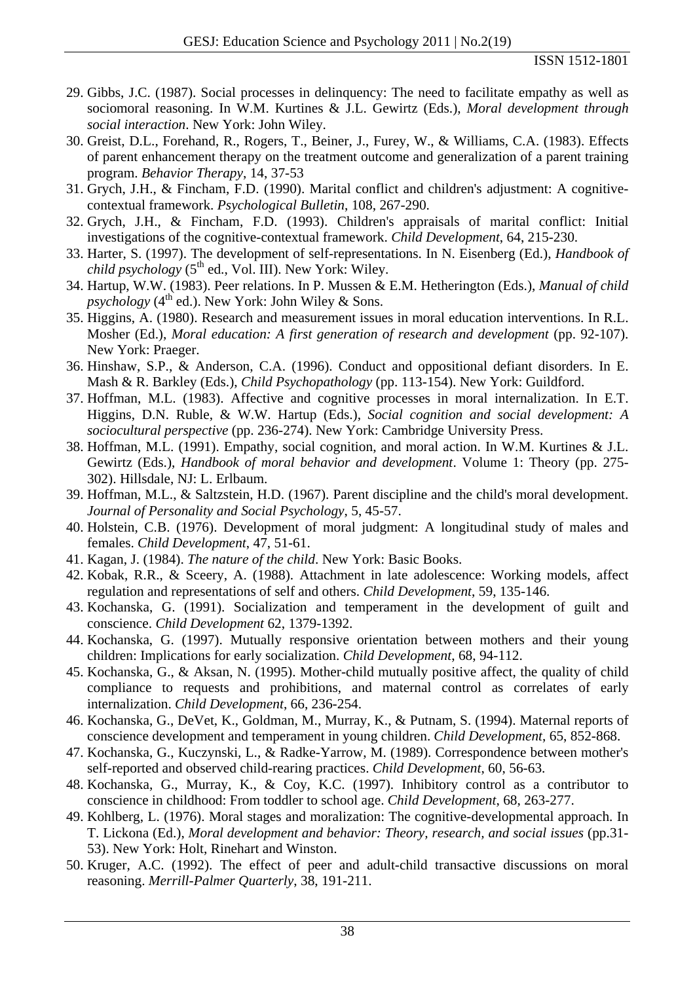- 29. Gibbs, J.C. (1987). Social processes in delinquency: The need to facilitate empathy as well as sociomoral reasoning. In W.M. Kurtines & J.L. Gewirtz (Eds.), *Moral development through social interaction*. New York: John Wiley.
- 30. Greist, D.L., Forehand, R., Rogers, T., Beiner, J., Furey, W., & Williams, C.A. (1983). Effects of parent enhancement therapy on the treatment outcome and generalization of a parent training program. *Behavior Therapy*, 14, 37-53
- 31. Grych, J.H., & Fincham, F.D. (1990). Marital conflict and children's adjustment: A cognitivecontextual framework. *Psychological Bulletin*, 108, 267-290.
- 32. Grych, J.H., & Fincham, F.D. (1993). Children's appraisals of marital conflict: Initial investigations of the cognitive-contextual framework. *Child Development*, 64, 215-230.
- 33. Harter, S. (1997). The development of self-representations. In N. Eisenberg (Ed.), *Handbook of child psychology* (5<sup>th</sup> ed., Vol. III). New York: Wiley.
- 34. Hartup, W.W. (1983). Peer relations. In P. Mussen & E.M. Hetherington (Eds.), *Manual of child psychology* ( $4<sup>th</sup>$  ed.). New York: John Wiley & Sons.
- 35. Higgins, A. (1980). Research and measurement issues in moral education interventions. In R.L. Mosher (Ed.), *Moral education: A first generation of research and development* (pp. 92-107). New York: Praeger.
- 36. Hinshaw, S.P., & Anderson, C.A. (1996). Conduct and oppositional defiant disorders. In E. Mash & R. Barkley (Eds.), *Child Psychopathology* (pp. 113-154). New York: Guildford.
- 37. Hoffman, M.L. (1983). Affective and cognitive processes in moral internalization. In E.T. Higgins, D.N. Ruble, & W.W. Hartup (Eds.), *Social cognition and social development: A sociocultural perspective* (pp. 236-274). New York: Cambridge University Press.
- 38. Hoffman, M.L. (1991). Empathy, social cognition, and moral action. In W.M. Kurtines & J.L. Gewirtz (Eds.), *Handbook of moral behavior and development*. Volume 1: Theory (pp. 275- 302). Hillsdale, NJ: L. Erlbaum.
- 39. Hoffman, M.L., & Saltzstein, H.D. (1967). Parent discipline and the child's moral development. *Journal of Personality and Social Psychology*, 5, 45-57.
- 40. Holstein, C.B. (1976). Development of moral judgment: A longitudinal study of males and females. *Child Development*, 47, 51-61.
- 41. Kagan, J. (1984). *The nature of the child*. New York: Basic Books.
- 42. Kobak, R.R., & Sceery, A. (1988). Attachment in late adolescence: Working models, affect regulation and representations of self and others. *Child Development*, 59, 135-146.
- 43. Kochanska, G. (1991). Socialization and temperament in the development of guilt and conscience. *Child Development* 62, 1379-1392.
- 44. Kochanska, G. (1997). Mutually responsive orientation between mothers and their young children: Implications for early socialization. *Child Development*, 68, 94-112.
- 45. Kochanska, G., & Aksan, N. (1995). Mother-child mutually positive affect, the quality of child compliance to requests and prohibitions, and maternal control as correlates of early internalization. *Child Development*, 66, 236-254.
- 46. Kochanska, G., DeVet, K., Goldman, M., Murray, K., & Putnam, S. (1994). Maternal reports of conscience development and temperament in young children. *Child Development*, 65, 852-868.
- 47. Kochanska, G., Kuczynski, L., & Radke-Yarrow, M. (1989). Correspondence between mother's self-reported and observed child-rearing practices. *Child Development*, 60, 56-63.
- 48. Kochanska, G., Murray, K., & Coy, K.C. (1997). Inhibitory control as a contributor to conscience in childhood: From toddler to school age. *Child Development*, 68, 263-277.
- 49. Kohlberg, L. (1976). Moral stages and moralization: The cognitive-developmental approach. In T. Lickona (Ed.), *Moral development and behavior: Theory, research, and social issues* (pp.31- 53). New York: Holt, Rinehart and Winston.
- 50. Kruger, A.C. (1992). The effect of peer and adult-child transactive discussions on moral reasoning. *Merrill-Palmer Quarterly*, 38, 191-211.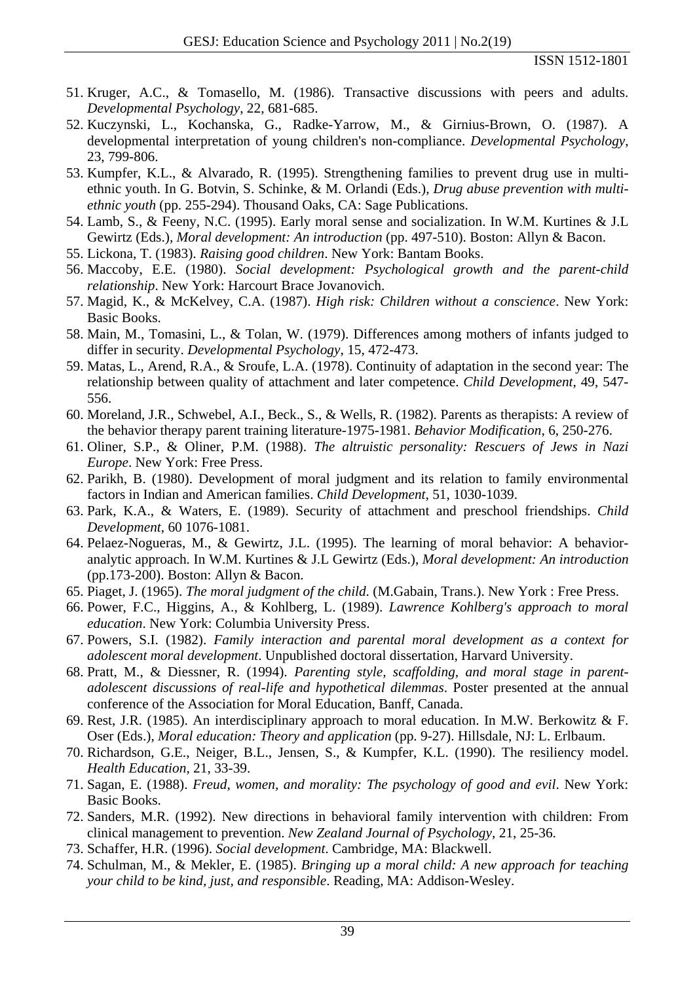- 51. Kruger, A.C., & Tomasello, M. (1986). Transactive discussions with peers and adults. *Developmental Psychology*, 22, 681-685.
- 52. Kuczynski, L., Kochanska, G., Radke-Yarrow, M., & Girnius-Brown, O. (1987). A developmental interpretation of young children's non-compliance. *Developmental Psychology*, 23, 799-806.
- 53. Kumpfer, K.L., & Alvarado, R. (1995). Strengthening families to prevent drug use in multiethnic youth. In G. Botvin, S. Schinke, & M. Orlandi (Eds.), *Drug abuse prevention with multiethnic youth* (pp. 255-294). Thousand Oaks, CA: Sage Publications.
- 54. Lamb, S., & Feeny, N.C. (1995). Early moral sense and socialization. In W.M. Kurtines & J.L Gewirtz (Eds.), *Moral development: An introduction* (pp. 497-510). Boston: Allyn & Bacon.
- 55. Lickona, T. (1983). *Raising good children*. New York: Bantam Books.
- 56. Maccoby, E.E. (1980). *Social development: Psychological growth and the parent-child relationship*. New York: Harcourt Brace Jovanovich.
- 57. Magid, K., & McKelvey, C.A. (1987). *High risk: Children without a conscience*. New York: Basic Books.
- 58. Main, M., Tomasini, L., & Tolan, W. (1979). Differences among mothers of infants judged to differ in security. *Developmental Psychology*, 15, 472-473.
- 59. Matas, L., Arend, R.A., & Sroufe, L.A. (1978). Continuity of adaptation in the second year: The relationship between quality of attachment and later competence. *Child Development*, 49, 547- 556.
- 60. Moreland, J.R., Schwebel, A.I., Beck., S., & Wells, R. (1982). Parents as therapists: A review of the behavior therapy parent training literature-1975-1981. *Behavior Modification*, 6, 250-276.
- 61. Oliner, S.P., & Oliner, P.M. (1988). *The altruistic personality: Rescuers of Jews in Nazi Europe*. New York: Free Press.
- 62. Parikh, B. (1980). Development of moral judgment and its relation to family environmental factors in Indian and American families. *Child Development*, 51, 1030-1039.
- 63. Park, K.A., & Waters, E. (1989). Security of attachment and preschool friendships. *Child Development*, 60 1076-1081.
- 64. Pelaez-Nogueras, M., & Gewirtz, J.L. (1995). The learning of moral behavior: A behavioranalytic approach. In W.M. Kurtines & J.L Gewirtz (Eds.), *Moral development: An introduction* (pp.173-200). Boston: Allyn & Bacon.
- 65. Piaget, J. (1965). *The moral judgment of the child*. (M.Gabain, Trans.). New York : Free Press.
- 66. Power, F.C., Higgins, A., & Kohlberg, L. (1989). *Lawrence Kohlberg's approach to moral education*. New York: Columbia University Press.
- 67. Powers, S.I. (1982). *Family interaction and parental moral development as a context for adolescent moral development*. Unpublished doctoral dissertation, Harvard University.
- 68. Pratt, M., & Diessner, R. (1994). *Parenting style, scaffolding, and moral stage in parentadolescent discussions of real-life and hypothetical dilemmas*. Poster presented at the annual conference of the Association for Moral Education, Banff, Canada.
- 69. Rest, J.R. (1985). An interdisciplinary approach to moral education. In M.W. Berkowitz & F. Oser (Eds.), *Moral education: Theory and application* (pp. 9-27). Hillsdale, NJ: L. Erlbaum.
- 70. Richardson, G.E., Neiger, B.L., Jensen, S., & Kumpfer, K.L. (1990). The resiliency model. *Health Education*, 21, 33-39.
- 71. Sagan, E. (1988). *Freud, women, and morality: The psychology of good and evil*. New York: Basic Books.
- 72. Sanders, M.R. (1992). New directions in behavioral family intervention with children: From clinical management to prevention. *New Zealand Journal of Psychology*, 21, 25-36.
- 73. Schaffer, H.R. (1996). *Social development*. Cambridge, MA: Blackwell.
- 74. Schulman, M., & Mekler, E. (1985). *Bringing up a moral child: A new approach for teaching your child to be kind, just, and responsible*. Reading, MA: Addison-Wesley.